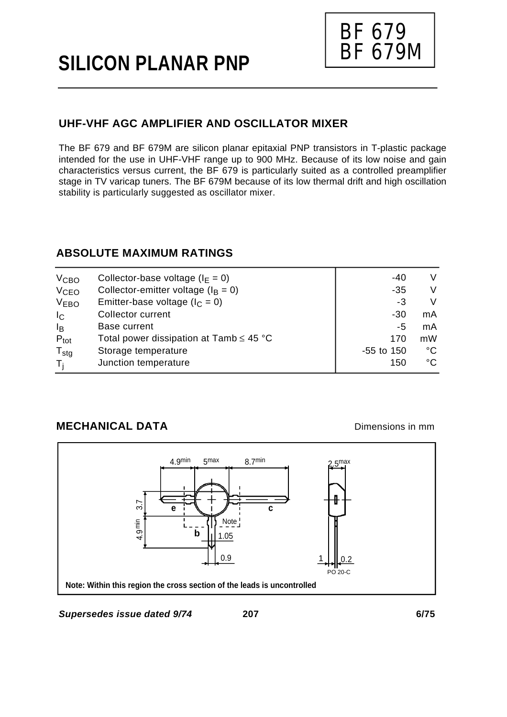# **SILICON PLANAR PNP**



# **UHF-VHF AGC AMPLIFIER AND OSCILLATOR MIXER**

The BF 679 and BF 679M are silicon planar epitaxial PNP transistors in T-plastic package intended for the use in UHF-VHF range up to 900 MHz. Because of its low noise and gain characteristics versus current, the BF 679 is particularly suited as a controlled preamplifier stage in TV varicap tuners. The BF 679M because of its low thermal drift and high oscillation stability is particularly suggested as oscillator mixer.

## **ABSOLUTE MAXIMUM RATINGS**

|                                              | -40                                  | V  |
|----------------------------------------------|--------------------------------------|----|
| Collector-emitter voltage ( $I_B = 0$ )      | $-35$                                | V  |
| Emitter-base voltage ( $I_C = 0$ )           | -3                                   | V  |
| Collector current                            | -30                                  | mA |
| Base current                                 | -5                                   | mA |
| Total power dissipation at Tamb $\leq 45$ °C | 170                                  | mW |
| Storage temperature                          | $-55$ to 150                         | °C |
| Junction temperature                         | 150                                  | °C |
|                                              | Collector-base voltage ( $I_F = 0$ ) |    |

## **MECHANICAL DATA**

Dimensions in mm

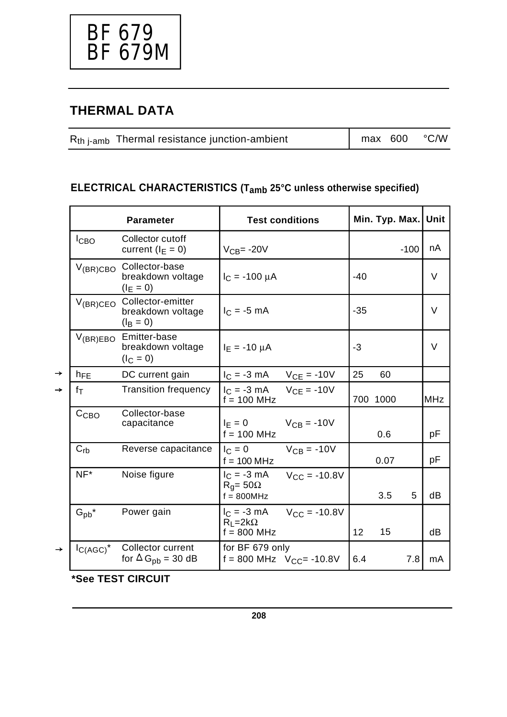

# **THERMAL DATA**

| $Rth$ <sub>i-amb</sub> Thermal resistance junction-ambient | $\ln \text{max}$ 600 °C/W |  |
|------------------------------------------------------------|---------------------------|--|
|                                                            |                           |  |

# **ELECTRICAL CHARACTERISTICS (Tamb 25°C unless otherwise specified)**

|               |                   | <b>Parameter</b>                                            |                                                      | <b>Test conditions</b> |       | Min. Typ. Max. Unit |        |            |
|---------------|-------------------|-------------------------------------------------------------|------------------------------------------------------|------------------------|-------|---------------------|--------|------------|
|               | $I_{CBO}$         | Collector cutoff<br>current $(I_F = 0)$                     | $VCB= -20V$                                          |                        |       |                     | $-100$ | nA         |
|               | $V_{(BR)CBO}$     | Collector-base<br>breakdown voltage<br>$(I_E = 0)$          | $I_C = -100 \mu A$                                   |                        | $-40$ |                     |        | V          |
|               | $V_{(BR)CEO}$     | Collector-emitter<br>breakdown voltage<br>$(I_{\rm B} = 0)$ | $I_C = -5$ mA                                        |                        | $-35$ |                     |        | V          |
|               | $V_{(BR)EBO}$     | Emitter-base<br>breakdown voltage<br>$(I_C = 0)$            | $I_F = -10 \mu A$                                    |                        | $-3$  |                     |        | $\vee$     |
| →             | $h_{FE}$          | DC current gain                                             | $I_C = -3$ mA $V_{CE} = -10V$                        |                        | 25    | 60                  |        |            |
| →             | $f_{\mathsf{T}}$  | <b>Transition frequency</b>                                 | $I_C = -3$ mA $V_{CE} = -10V$<br>$f = 100$ MHz       |                        |       | 700 1000            |        | <b>MHz</b> |
|               | C <sub>CBO</sub>  | Collector-base<br>capacitance                               | $I_F = 0$ $V_{CB} = -10V$<br>$f = 100$ MHz           |                        |       | 0.6                 |        | рF         |
|               | $C_{rb}$          | Reverse capacitance                                         | $I_C = 0$<br>$f = 100 MHz$                           | $V_{CB} = -10V$        |       | 0.07                |        | pF         |
|               | $NF^*$            | Noise figure                                                | $I_C = -3$ mA<br>$R_q = 50\Omega$<br>$f = 800$ MHz   | $V_{CC} = -10.8V$      |       | 3.5                 | 5      | dB         |
|               | $G_{\text{pb}}^*$ | Power gain                                                  | $I_{C} = -3$ mA<br>$R_1 = 2k\Omega$<br>$f = 800$ MHz | $V_{CC} = -10.8V$      | 12    | 15                  |        | dB         |
| $\rightarrow$ | $I_{C(AGC)}^*$    | Collector current<br>for $\Delta G_{\rm pb}$ = 30 dB        | for BF 679 only<br>$f = 800$ MHz $V_{CC} = -10.8V$   |                        | 6.4   |                     | 7.8    | mA         |

**\*See TEST CIRCUIT**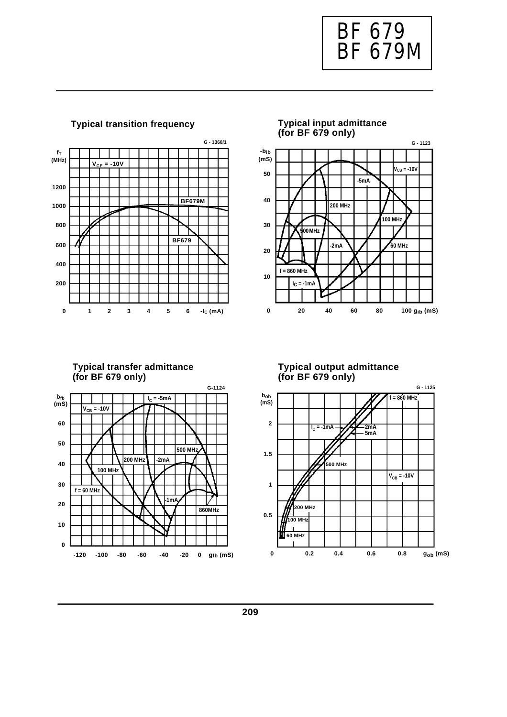



### **TypicaI transition frequency**



### **Typical transfer admittance (for BF 679 only)**



#### **Typical output admittance (for BF 679 only)**